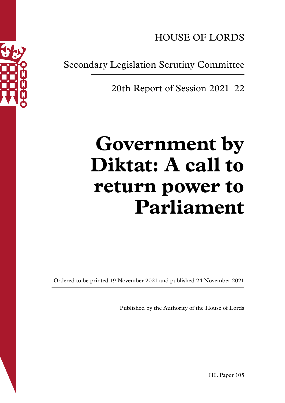HOUSE OF LORDS

Secondary Legislation Scrutiny Committee

20th Report of Session 2021–22

# **Government by Diktat: A call to return power to Parliament**

Ordered to be printed 19 November 2021 and published 24 November 2021

Published by the Authority of the House of Lords

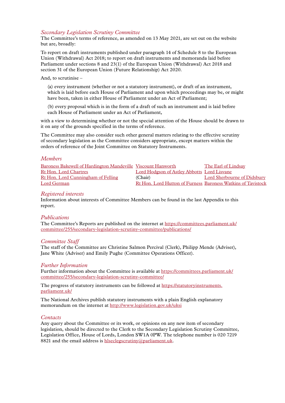#### *Secondary Legislation Scrutiny Committee*

The Committee's terms of reference, as amended on 13 May 2021, are set out on the website but are, broadly:

To report on draft instruments published under paragraph 14 of Schedule 8 to the European Union (Withdrawal) Act 2018; to report on draft instruments and memoranda laid before Parliament under sections 8 and 23(1) of the European Union (Withdrawal) Act 2018 and section 31 of the European Union (Future Relationship) Act 2020.

And, to scrutinise –

(a) every instrument (whether or not a statutory instrument), or draft of an instrument, which is laid before each House of Parliament and upon which proceedings may be, or might have been, taken in either House of Parliament under an Act of Parliament;

(b) every proposal which is in the form of a draft of such an instrument and is laid before each House of Parliament under an Act of Parliament,

with a view to determining whether or not the special attention of the House should be drawn to it on any of the grounds specified in the terms of reference.

The Committee may also consider such other general matters relating to the effective scrutiny of secondary legislation as the Committee considers appropriate, except matters within the orders of reference of the Joint Committee on Statutory Instruments.

#### *Members*

| Baroness Bakewell of Hardington Mandeville Viscount Hanworth |                                                              | The Earl of Lindsay         |
|--------------------------------------------------------------|--------------------------------------------------------------|-----------------------------|
| Rt Hon. Lord Chartres                                        | Lord Hodgson of Astley Abbotts Lord Lisvane                  |                             |
| Rt Hon. Lord Cunningham of Felling                           | (Chair)                                                      | Lord Sherbourne of Didsbury |
| Lord German                                                  | Rt Hon. Lord Hutton of Furness Baroness Watkins of Tavistock |                             |

#### *Registered interests*

Information about interests of Committee Members can be found in the last Appendix to this report.

#### *Publications*

The Committee's Reports are published on the internet at [https://committees.parliament.uk/](http://committees.parliament.uk/committee/255/secondary-legislation-scrutiny-committee/publications/) [committee/255/secondary-legislation-scrutiny-committee/publications/](http://committees.parliament.uk/committee/255/secondary-legislation-scrutiny-committee/publications/)

#### *Committee Staff*

The staff of the Committee are Christine Salmon Percival (Clerk), Philipp Mende (Adviser), Jane White (Adviser) and Emily Pughe (Committee Operations Officer).

#### *Further Information*

Further information about the Committee is available at [https://committees.parliament.uk/](http://committees.parliament.uk/committee/255/secondary-legislation-scrutiny-committee/) [committee/255/secondary-legislation-scrutiny-committee/](http://committees.parliament.uk/committee/255/secondary-legislation-scrutiny-committee/)

The progress of statutory instruments can be followed at [https://statutoryinstruments.](https://statutoryinstruments.parliament.uk/) [parliament.uk/](https://statutoryinstruments.parliament.uk/)

The National Archives publish statutory instruments with a plain English explanatory memorandum on the internet at<http://www.legislation.gov.uk/uksi>

#### *Contacts*

Any query about the Committee or its work, or opinions on any new item of secondary legislation, should be directed to the Clerk to the Secondary Legislation Scrutiny Committee, Legislation Office, House of Lords, London SW1A 0PW. The telephone number is 020 7219 8821 and the email address is [hlseclegscrutiny@parliament.uk](mailto:hlseclegscrutiny%40parliament.uk?subject=).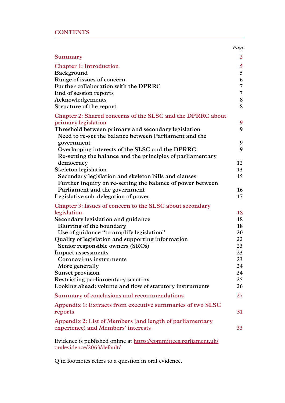| <b>CONTENTS</b> |  |  |  |  |
|-----------------|--|--|--|--|
|                 |  |  |  |  |

|                                                                                                  | Page |
|--------------------------------------------------------------------------------------------------|------|
| Summary                                                                                          | 2    |
| <b>Chapter 1: Introduction</b>                                                                   | 5    |
| Background                                                                                       | 5    |
| Range of issues of concern                                                                       | 6    |
| Further collaboration with the DPRRC                                                             | 7    |
| End of session reports                                                                           | 7    |
| Acknowledgements                                                                                 | 8    |
| Structure of the report                                                                          | 8    |
| Chapter 2: Shared concerns of the SLSC and the DPRRC about<br>primary legislation                | 9    |
| Threshold between primary and secondary legislation                                              | 9    |
| Need to re-set the balance between Parliament and the                                            |      |
| government                                                                                       | 9    |
| Overlapping interests of the SLSC and the DPRRC                                                  | 9    |
| Re-setting the balance and the principles of parliamentary                                       |      |
| democracy                                                                                        | 12   |
| <b>Skeleton legislation</b>                                                                      | 13   |
| Secondary legislation and skeleton bills and clauses                                             | 15   |
| Further inquiry on re-setting the balance of power between                                       |      |
| Parliament and the government                                                                    | 16   |
| Legislative sub-delegation of power                                                              | 17   |
| Chapter 3: Issues of concern to the SLSC about secondary                                         |      |
| legislation                                                                                      | 18   |
| Secondary legislation and guidance                                                               | 18   |
| Blurring of the boundary                                                                         | 18   |
| Use of guidance "to amplify legislation"                                                         | 20   |
| Quality of legislation and supporting information                                                | 22   |
| Senior responsible owners (SROs)                                                                 | 23   |
| <b>Impact assessments</b>                                                                        | 23   |
| Coronavirus instruments                                                                          | 23   |
| More generally                                                                                   | 24   |
| <b>Sunset provision</b>                                                                          | 24   |
| Restricting parliamentary scrutiny                                                               | 25   |
| Looking ahead: volume and flow of statutory instruments                                          | 26   |
| Summary of conclusions and recommendations                                                       | 27   |
| Appendix 1: Extracts from executive summaries of two SLSC                                        |      |
| reports                                                                                          | 31   |
| Appendix 2: List of Members (and length of parliamentary                                         |      |
| experience) and Members' interests                                                               | 33   |
| Evidence is published online at https://committees.parliament.uk/<br>oralevidence/2063/default/. |      |

Q in footnotes refers to a question in oral evidence.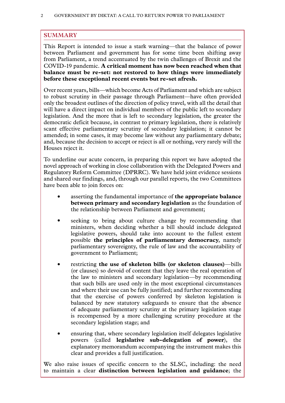# <span id="page-3-0"></span>**SUMMARY**

This Report is intended to issue a stark warning—that the balance of power between Parliament and government has for some time been shifting away from Parliament, a trend accentuated by the twin challenges of Brexit and the COVID-19 pandemic. **A critical moment has now been reached when that balance must be re-set: not restored to how things were immediately before these exceptional recent events but re-set afresh.**

Over recent years, bills—which become Acts of Parliament and which are subject to robust scrutiny in their passage through Parliament—have often provided only the broadest outlines of the direction of policy travel, with all the detail that will have a direct impact on individual members of the public left to secondary legislation. And the more that is left to secondary legislation, the greater the democratic deficit because, in contrast to primary legislation, there is relatively scant effective parliamentary scrutiny of secondary legislation; it cannot be amended; in some cases, it may become law without any parliamentary debate; and, because the decision to accept or reject is all or nothing, very rarely will the Houses reject it.

To underline our acute concern, in preparing this report we have adopted the novel approach of working in close collaboration with the Delegated Powers and Regulatory Reform Committee (DPRRC). We have held joint evidence sessions and shared our findings, and, through our parallel reports, the two Committees have been able to join forces on:

- asserting the fundamental importance of **the appropriate balance between primary and secondary legislation** as the foundation of the relationship between Parliament and government;
- seeking to bring about culture change by recommending that ministers, when deciding whether a bill should include delegated legislative powers, should take into account to the fullest extent possible **the principles of parliamentary democracy**, namely parliamentary sovereignty, the rule of law and the accountability of government to Parliament;
- restricting **the use of skeleton bills (or skeleton clauses)**—bills (or clauses) so devoid of content that they leave the real operation of the law to ministers and secondary legislation—by recommending that such bills are used only in the most exceptional circumstances and where their use can be fully justified; and further recommending that the exercise of powers conferred by skeleton legislation is balanced by new statutory safeguards to ensure that the absence of adequate parliamentary scrutiny at the primary legislation stage is recompensed by a more challenging scrutiny procedure at the secondary legislation stage; and
- ensuring that, where secondary legislation itself delegates legislative powers (called **legislative sub-delegation of power**), the explanatory memorandum accompanying the instrument makes this clear and provides a full justification.

We also raise issues of specific concern to the SLSC, including: the need to maintain a clear **distinction between legislation and guidance**; the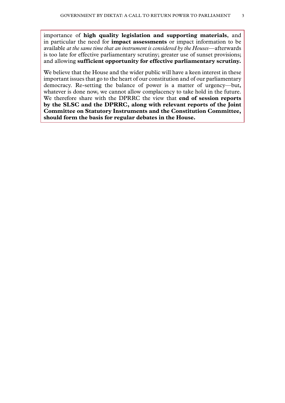importance of **high quality legislation and supporting materials**, and in particular the need for **impact assessments** or impact information to be available *at the same time that an instrument is considered by the Houses*—afterwards is too late for effective parliamentary scrutiny; greater use of sunset provisions; and allowing **sufficient opportunity for effective parliamentary scrutiny.**

We believe that the House and the wider public will have a keen interest in these important issues that go to the heart of our constitution and of our parliamentary democracy. Re-setting the balance of power is a matter of urgency—but, whatever is done now, we cannot allow complacency to take hold in the future. We therefore share with the DPRRC the view that **end of session reports by the SLSC and the DPRRC, along with relevant reports of the Joint Committee on Statutory Instruments and the Constitution Committee, should form the basis for regular debates in the House.**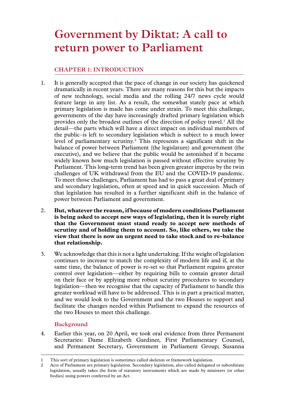# <span id="page-6-0"></span>**Government by Diktat: A call to return power to Parliament**

# **Chapter 1: INTRODUCTION**

- 1. It is generally accepted that the pace of change in our society has quickened dramatically in recent years. There are many reasons for this but the impacts of new technology, social media and the rolling 24/7 news cycle would feature large in any list. As a result, the somewhat stately pace at which primary legislation is made has come under strain. To meet this challenge, governments of the day have increasingly drafted primary legislation which provides only the broadest outlines of the direction of policy travel.<sup>1</sup> All the detail—the parts which will have a direct impact on individual members of the public–is left to secondary legislation which is subject to a much lower level of parliamentary scrutiny.2 This represents a significant shift in the balance of power between Parliament (the legislature) and government (the executive), and we believe that the public would be astonished if it became widely known how much legislation is passed without effective scrutiny by Parliament. This long-term trend has been given greater impetus by the twin challenges of UK withdrawal from the EU and the COVID-19 pandemic. To meet those challenges, Parliament has had to pass a great deal of primary and secondary legislation, often at speed and in quick succession. Much of that legislation has resulted in a further significant shift in the balance of power between Parliament and government.
- 2. **But, whatever the reason, if because of modern conditions Parliament is being asked to accept new ways of legislating, then it is surely right that the Government must stand ready to accept new methods of scrutiny and of holding them to account. So, like others, we take the view that there is now an urgent need to take stock and to re-balance that relationship.**
- 3. We acknowledge that this is not a light undertaking. If the weight of legislation continues to increase to match the complexity of modern life and if, at the same time, the balance of power is re-set so that Parliament regains greater control over legislation—either by requiring bills to contain greater detail on their face or by applying more robust scrutiny procedures to secondary legislation—then we recognise that the capacity of Parliament to handle this greater workload will have to be addressed. This is in part a practical matter, and we would look to the Government and the two Houses to support and facilitate the changes needed within Parliament to expand the resources of the two Houses to meet this challenge.

## **Background**

4. Earlier this year, on 20 April, we took oral evidence from three Permanent Secretaries: Dame Elizabeth Gardiner, First Parliamentary Counsel, and Permanent Secretary, Government in Parliament Group; Susanna

<sup>1</sup> This sort of primary legislation is sometimes called skeleton or framework legislation.

<sup>2</sup> Acts of Parliament are primary legislation. Secondary legislation, also called delegated or subordinate legislation, usually takes the form of statutory instruments which are made by ministers (or other bodies) using powers conferred by an Act.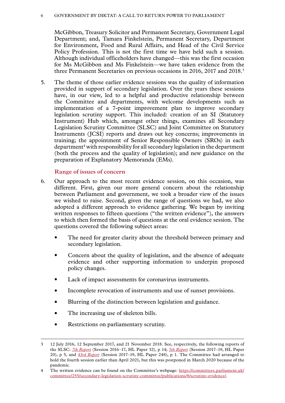#### <span id="page-7-0"></span>6 Government by Diktat: A call to return power to Parliament

McGibbon, Treasury Solicitor and Permanent Secretary, Government Legal Department; and, Tamara Finkelstein, Permanent Secretary, Department for Environment, Food and Rural Affairs, and Head of the Civil Service Policy Profession. This is not the first time we have held such a session. Although individual officeholders have changed—this was the first occasion for Ms McGibbon and Ms Finkelstein—we have taken evidence from the three Permanent Secretaries on previous occasions in 2016, 2017 and 2018.<sup>3</sup>

5. The theme of those earlier evidence sessions was the quality of information provided in support of secondary legislation. Over the years these sessions have, in our view, led to a helpful and productive relationship between the Committee and departments, with welcome developments such as implementation of a 7-point improvement plan to improve secondary legislation scrutiny support. This included: creation of an SI (Statutory Instrument) Hub which, amongst other things, examines all Secondary Legislation Scrutiny Committee (SLSC) and Joint Committee on Statutory Instruments (JCSI) reports and draws out key concerns; improvements in training; the appointment of Senior Responsible Owners (SROs) in each department<sup>4</sup> with responsibility for all secondary legislation in the department (both the process and the quality of legislation); and new guidance on the preparation of Explanatory Memoranda (EMs).

#### **Range of issues of concern**

- 6. Our approach to the most recent evidence session, on this occasion, was different. First, given our more general concern about the relationship between Parliament and government, we took a broader view of the issues we wished to raise. Second, given the range of questions we had, we also adopted a different approach to evidence gathering. We began by inviting written responses to fifteen questions ("the written evidence"), the answers to which then formed the basis of questions at the oral evidence session. The questions covered the following subject areas:
	- The need for greater clarity about the threshold between primary and secondary legislation.
	- Concern about the quality of legislation, and the absence of adequate evidence and other supporting information to underpin proposed policy changes.
	- Lack of impact assessments for coronavirus instruments.
	- Incomplete revocation of instruments and use of sunset provisions.
	- Blurring of the distinction between legislation and guidance.
	- The increasing use of skeleton bills.
	- Restrictions on parliamentary scrutiny.

<sup>3</sup> 12 July 2016, 12 September 2017, and 21 November 2018. See, respectively, the following reports of the SLSC: *[7th Report](https://publications.parliament.uk/pa/ld201617/ldselect/ldsecleg/32/32.pdf)* (Session 2016–17, HL Paper 32), p 14; *[5th Report](https://publications.parliament.uk/pa/ld201719/ldselect/ldsecleg/20/20.pdf)* (Session 2017–19, HL Paper 20), p 5, and *[43rd Report](https://publications.parliament.uk/pa/ld201719/ldselect/ldsecleg/248/248.pdf)* (Session 2017–19, HL Paper 248), p 1. The Committee had arranged to hold the fourth session earlier than April 2021, but this was postponed in March 2020 because of the pandemic.

<sup>4</sup> The written evidence can be found on the Committee's webpage: [https://committees.parliament.uk/](https://committees.parliament.uk/committee/255/secondary-legislation-scrutiny-committee/publications/8/scrutiny-evidence/) [committee/255/secondary-legislation-scrutiny-committee/publications/8/scrutiny-evidence/.](https://committees.parliament.uk/committee/255/secondary-legislation-scrutiny-committee/publications/8/scrutiny-evidence/)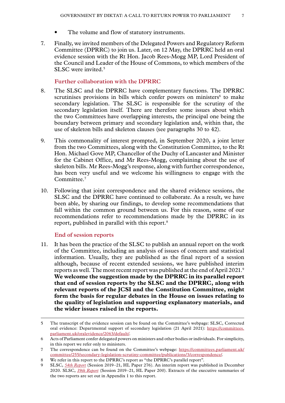- The volume and flow of statutory instruments.
- <span id="page-8-0"></span>7. Finally, we invited members of the Delegated Powers and Regulatory Reform Committee (DPRRC) to join us. Later, on 12 May, the DPRRC held an oral evidence session with the Rt Hon. Jacob Rees-Mogg MP, Lord President of the Council and Leader of the House of Commons, to which members of the SLSC were invited.<sup>5</sup>

#### **Further collaboration with the DPRRC**

- 8. The SLSC and the DPRRC have complementary functions. The DPRRC scrutinises provisions in bills which confer powers on ministers<sup>6</sup> to make secondary legislation. The SLSC is responsible for the scrutiny of the secondary legislation itself. There are therefore some issues about which the two Committees have overlapping interests, the principal one being the boundary between primary and secondary legislation and, within that, the use of skeleton bills and skeleton clauses (see paragraphs 30 to 42).
- 9. This commonality of interest prompted, in September 2020, a joint letter from the two Committees, along with the Constitution Committee, to the Rt Hon. Michael Gove MP, Chancellor of the Duchy of Lancaster and Minister for the Cabinet Office, and Mr Rees-Mogg, complaining about the use of skeleton bills. Mr Rees-Mogg's response, along with further correspondence, has been very useful and we welcome his willingness to engage with the Committee.7
- 10. Following that joint correspondence and the shared evidence sessions, the SLSC and the DPRRC have continued to collaborate. As a result, we have been able, by sharing our findings, to develop some recommendations that fall within the common ground between us. For this reason, some of our recommendations refer to recommendations made by the DPRRC in its report, published in parallel with this report.8

#### **End of session reports**

11. It has been the practice of the SLSC to publish an annual report on the work of the Committee, including an analysis of issues of concern and statistical information. Usually, they are published as the final report of a session although, because of recent extended sessions, we have published interim reports as well. The most recent report was published at the end of April 2021.<sup>9</sup> **We welcome the suggestion made by the DPRRC in its parallel report that end of session reports by the SLSC and the DPRRC, along with relevant reports of the JCSI and the Constitution Committee, might form the basis for regular debates in the House on issues relating to the quality of legislation and supporting explanatory materials, and the wider issues raised in the reports.**

<sup>5</sup> The transcript of the evidence session can be found on the Committee's webpage: SLSC, Corrected oral evidence: Departmental support of secondary legislation (21 April 2021): [https://committees.](https://committees.parliament.uk/oralevidence/2063/default/) [parliament.uk/oralevidence/2063/default/.](https://committees.parliament.uk/oralevidence/2063/default/)

<sup>6</sup> Acts of Parliament confer delegated powers on ministers and other bodies or individuals. For simplicity, in this report we refer only to ministers.

<sup>7</sup> The correspondence can be found on the Committee's webpage: [https://committees.parliament.uk/](https://committees.parliament.uk/committee/255/secondary-legislation-scrutiny-committee/publications/3/correspondence/) [committee/255/secondary-legislation-scrutiny-committee/publications/3/correspondence/.](https://committees.parliament.uk/committee/255/secondary-legislation-scrutiny-committee/publications/3/correspondence/)

<sup>8</sup> We refer in this report to the DPRRC's report as "the DPRRC's parallel report".

<sup>9</sup> SLSC, *[54th Report](https://committees.parliament.uk/publications/5729/documents/56545/default/)* (Session 2019–21, HL Paper 276). An interim report was published in December 2020. SLSC, *[39th Report](https://committees.parliament.uk/publications/4105/documents/40792/default/)* (Session 2019–21, HL Paper 200). Extracts of the executive summaries of the two reports are set out in Appendix 1 to this report.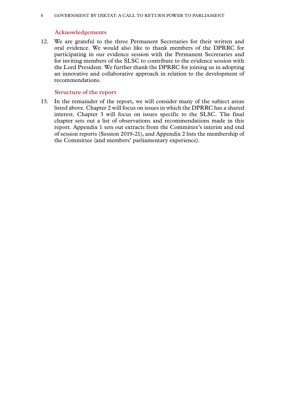#### <span id="page-9-0"></span>8 Government by Diktat: A call to return power to Parliament

#### **Acknowledgements**

12. We are grateful to the three Permanent Secretaries for their written and oral evidence. We would also like to thank members of the DPRRC for participating in our evidence session with the Permanent Secretaries and for inviting members of the SLSC to contribute to the evidence session with the Lord President. We further thank the DPRRC for joining us in adopting an innovative and collaborative approach in relation to the development of recommendations.

#### **Structure of the report**

13. In the remainder of the report, we will consider many of the subject areas listed above. Chapter 2 will focus on issues in which the DPRRC has a shared interest. Chapter 3 will focus on issues specific to the SLSC. The final chapter sets out a list of observations and recommendations made in this report. Appendix 1 sets out extracts from the Committee's interim and end of session reports (Session 2019-21), and Appendix 2 lists the membership of the Committee (and members' parliamentary experience).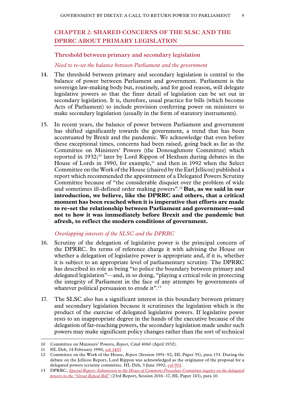# <span id="page-10-0"></span>**Chapter 2: SHARED CONCERNS OF THE SLSC AND THE DPRRC ABOUT PRIMARY LEGISLATION**

#### **Threshold between primary and secondary legislation**

*Need to re-set the balance between Parliament and the government*

- 14. The threshold between primary and secondary legislation is central to the balance of power between Parliament and government. Parliament is the sovereign law-making body but, routinely, and for good reason, will delegate legislative powers so that the finer detail of legislation can be set out in secondary legislation. It is, therefore, usual practice for bills (which become Acts of Parliament) to include provision conferring power on ministers to make secondary legislation (usually in the form of statutory instruments).
- 15. In recent years, the balance of power between Parliament and government has shifted significantly towards the government, a trend that has been accentuated by Brexit and the pandemic. We acknowledge that even before these exceptional times, concerns had been raised, going back as far as the Committee on Ministers' Powers (the Donoughmore Committee) which reported in 1932;<sup>10</sup> later by Lord Rippon of Hexham during debates in the House of Lords in 1990, for example,<sup>11</sup> and then in 1992 when the Select Committee on the Work of the House (chaired by the Earl Jellicoe) published a report which recommended the appointment of a Delegated Powers Scrutiny Committee because of "the considerable disquiet over the problem of wide and sometimes ill-defined order making powers".12 **But, as we said in our introduction, we believe, like the DPRRC and others, that a critical moment has been reached when it is imperative that efforts are made to re-set the relationship between Parliament and government—and not to how it was immediately before Brexit and the pandemic but afresh, to reflect the modern conditions of government.**

#### *Overlapping interests of the SLSC and the DPRRC*

- 16. Scrutiny of the delegation of legislative power is the principal concern of the DPRRC. Its terms of reference charge it with advising the House on whether a delegation of legislative power is appropriate and, if it is, whether it is subject to an appropriate level of parliamentary scrutiny. The DPRRC has described its role as being "to police the boundary between primary and delegated legislation"—and, in so doing, "playing a critical role in protecting the integrity of Parliament in the face of any attempts by governments of whatever political persuasion to erode it".<sup>13</sup>
- 17. The SLSC also has a significant interest in this boundary between primary and secondary legislation because it scrutinises the legislation which is the product of the exercise of delegated legislative powers. If legislative power rests to an inappropriate degree in the hands of the executive because of the delegation of far-reaching powers, the secondary legislation made under such powers may make significant policy changes rather than the sort of technical

<sup>10</sup> Committee on Ministers' Powers, *Report*, Cmd 4060 (April 1932).

<sup>11</sup> HL Deb, 14 February 1990, [col 1407](https://api.parliament.uk/historic-hansard/lords/1990/feb/14/legislation-scrutiny-proposal).

<sup>12</sup> Committee on the Work of the House, *Report* (Session 1991–92, HL Paper 35), para 133. During the debate on the Jellicoe Report, Lord Rippon was acknowledged as the originator of the proposal for a delegated powers scrutiny committee. HL Deb, 3 June 1992, [col 901.](https://api.parliament.uk/historic-hansard/lords/1992/jun/03/committee-work-of-the-house)

<sup>13</sup> DPRRC, *[Special Report: Submission to the House of Commons Procedure Committee inquiry on the delegated](https://publications.parliament.uk/pa/ld201617/ldselect/lddelreg/143/143.pdf) [powers in the "Great Repeal Bill"](https://publications.parliament.uk/pa/ld201617/ldselect/lddelreg/143/143.pdf)* (23rd Report, Session 2016–17, HL Paper 143), para 10.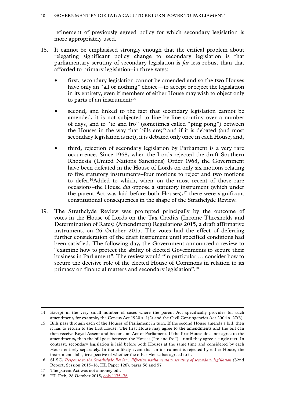refinement of previously agreed policy for which secondary legislation is more appropriately used.

- 18. It cannot be emphasised strongly enough that the critical problem about relegating significant policy change to secondary legislation is that parliamentary scrutiny of secondary legislation is *far* less robust than that afforded to primary legislation–in three ways:
	- first, secondary legislation cannot be amended and so the two Houses have only an "all or nothing" choice—to accept or reject the legislation in its entirety, even if members of either House may wish to object only to parts of an instrument; $14$
	- second, and linked to the fact that secondary legislation cannot be amended, it is not subjected to line-by-line scrutiny over a number of days, and to "to and fro" (sometimes called "ping pong") between the Houses in the way that bills are;<sup>15</sup> and if it is debated (and most secondary legislation is not), it is debated only once in each House; and,
	- third, rejection of secondary legislation by Parliament is a very rare occurrence. Since 1968, when the Lords rejected the draft Southern Rhodesia (United Nations Sanctions) Order 1968, the Government have been defeated in the House of Lords on only six motions relating to five statutory instruments–four motions to reject and two motions to defer.16Added to which, when–on the most recent of those rare occasions–the House *did* oppose a statutory instrument (which under the parent Act was laid before both Houses), $17$  there were significant constitutional consequences in the shape of the Strathclyde Review.
- 19. The Strathclyde Review was prompted principally by the outcome of votes in the House of Lords on the Tax Credits (Income Thresholds and Determination of Rates) (Amendment) Regulations 2015, a draft affirmative instrument, on 26 October 2015. The votes had the effect of deferring further consideration of the draft instrument until specified conditions had been satisfied. The following day, the Government announced a review to "examine how to protect the ability of elected Governments to secure their business in Parliament". The review would "in particular … consider how to secure the decisive role of the elected House of Commons in relation to its primacy on financial matters and secondary legislation".18

<sup>14</sup> Except in the very small number of cases where the parent Act specifically provides for such amendment, for example, the Census Act 1920 s. 1(2) and the Civil Contingencies Act 2004 s. 27(3).

<sup>15</sup> Bills pass through each of the Houses of Parliament in turn. If the second House amends a bill, then it has to return to the first House. The first House may agree to the amendments and the bill can then receive Royal Assent and become an Act of Parliament. If the first House does not agree to the amendments, then the bill goes between the Houses ("to and fro")—until they agree a single text. In contrast, secondary legislation is laid before both Houses at the same time and considered by each House entirely separately. In the unlikely event that an instrument is rejected by either House, the instruments falls, irrespective of whether the other House has agreed to it.

<sup>16</sup> SLSC, *[Response to the Strathclyde Review: Effective parliamentary scrutiny of secondary legislation](https://publications.parliament.uk/pa/ld201516/ldselect/ldsecleg/128/128.pdf)* (32nd Report, Session 2015–16, HL Paper 128), paras 56 and 57.

<sup>17</sup> The parent Act was not a money bill.

<sup>18</sup> HL Deb, 28 October 2015, cols 1175-76.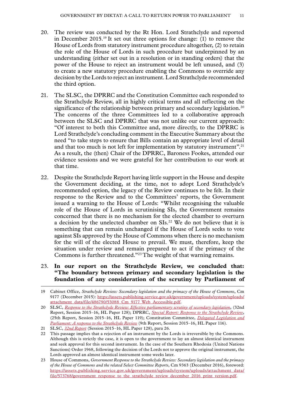- 20. The review was conducted by the Rt Hon. Lord Strathclyde and reported in December 2015.19 It set out three options for change: (1) to remove the House of Lords from statutory instrument procedure altogether, (2) to retain the role of the House of Lords in such procedure but underpinned by an understanding (either set out in a resolution or in standing orders) that the power of the House to reject an instrument would be left unused, and (3) to create a new statutory procedure enabling the Commons to override any decision by the Lords to reject an instrument. Lord Strathclyde recommended the third option.
- 21. The SLSC, the DPRRC and the Constitution Committee each responded to the Strathclyde Review, all in highly critical terms and all reflecting on the significance of the relationship between primary and secondary legislation.<sup>20</sup> The concerns of the three Committees led to a collaborative approach between the SLSC and DPRRC that was not unlike our current approach: "Of interest to both this Committee and, more directly, to the DPRRC is Lord Strathclyde's concluding comment in the Executive Summary about the need "to take steps to ensure that Bills contain an appropriate level of detail and that too much is not left for implementation by statutory instrument".<sup>21</sup> As a result, the (then) Chair of the DPRRC, Baroness Fookes, attended our evidence sessions and we were grateful for her contribution to our work at that time.
- 22. Despite the Strathclyde Report having little support in the House and despite the Government deciding, at the time, not to adopt Lord Strathclyde's recommended option, the legacy of the Review continues to be felt. In their response to the Review and to the Committees' reports, the Government issued a warning to the House of Lords: "Whilst recognising the valuable role of the House of Lords in scrutinising SIs, the Government remains concerned that there is no mechanism for the elected chamber to overturn a decision by the unelected chamber on SIs.<sup>22</sup> We do not believe that it is something that can remain unchanged if the House of Lords seeks to vote against SIs approved by the House of Commons when there is no mechanism for the will of the elected House to prevail. We must, therefore, keep the situation under review and remain prepared to act if the primacy of the Commons is further threatened."23 The weight of that warning remains.

#### 23. **In our report on the Strathclyde Review, we concluded that: "The boundary between primary and secondary legislation is the foundation of any consideration of the scrutiny by Parliament of**

<sup>19</sup> Cabinet Office, *Strathclyde Review: Secondary legislation and the primacy of the House of Commons*, Cm 9177 (December 2015): [https://assets.publishing.service.gov.uk/government/uploads/system/uploads/](https://assets.publishing.service.gov.uk/government/uploads/system/uploads/attachment_data/file/486790/53088_Cm_9177_Web_Accessible.pdf) [attachment\\_data/file/486790/53088\\_Cm\\_9177\\_Web\\_Accessible.pdf.](https://assets.publishing.service.gov.uk/government/uploads/system/uploads/attachment_data/file/486790/53088_Cm_9177_Web_Accessible.pdf)

<sup>20</sup> SLSC, *[Response to the Strathclyde Review: Effective parliamentary scrutiny of secondary legislation](https://publications.parliament.uk/pa/ld201516/ldselect/ldsecleg/128/128.pdf)*, (32nd Report, Session 2015–16, HL Paper 128); DPRRC, *[Special Report: Response to the Strathclyde Review](https://publications.parliament.uk/pa/ld201516/ldselect/lddelreg/119/119.pdf)*, (25th Report, Session 2015–16, HL Paper 119); Constitution Committee, *[Delegated Legislation and](https://publications.parliament.uk/pa/ld201516/ldselect/ldconst/116/116.pdf) [Parliament: A response to the Strathclyde Review](https://publications.parliament.uk/pa/ld201516/ldselect/ldconst/116/116.pdf)* (9th Report, Session 2015–16, HL Paper 116).

<sup>21</sup> SLSC, *[32nd Report](https://publications.parliament.uk/pa/ld201516/ldselect/ldsecleg/128/128.pdf)* (Session 2015–16, HL Paper 128), para 26.

<sup>22</sup> This passage implies that a rejection of an instrument by the Lords is irreversible by the Commons. Although this is strictly the case, it is open to the government to lay an almost identical instrument and seek approval for this second instrument. In the case of the Southern Rhodesia (United Nations Sanctions) Order 1968, following the decision of the Lords not to approve the original instrument, the Lords approved an almost identical instrument some weeks later.

<sup>23</sup> House of Commons, *Government Response to the Strathclyde Review: Secondary legislation and the primacy of the House of Commons and the related Select Committee Reports*, Cm 9363 (December 2016), foreword: [https://assets.publishing.service.gov.uk/government/uploads/system/uploads/attachment\\_data/](https://assets.publishing.service.gov.uk/government/uploads/system/uploads/attachment_data/file/573768/government_response_to_the_strathclyde_review_december_2016_print_version.pdf) [file/573768/government\\_response\\_to\\_the\\_strathclyde\\_review\\_december\\_2016\\_print\\_version.pdf.](https://assets.publishing.service.gov.uk/government/uploads/system/uploads/attachment_data/file/573768/government_response_to_the_strathclyde_review_december_2016_print_version.pdf)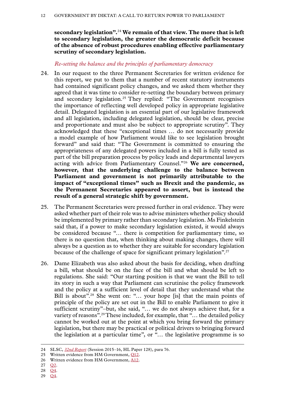<span id="page-13-0"></span>**secondary legislation".**<sup>24</sup> **We remain of that view. The more that is left to secondary legislation, the greater the democratic deficit because of the absence of robust procedures enabling effective parliamentary scrutiny of secondary legislation.**

#### *Re-setting the balance and the principles of parliamentary democracy*

- 24. In our request to the three Permanent Secretaries for written evidence for this report, we put to them that a number of recent statutory instruments had contained significant policy changes, and we asked them whether they agreed that it was time to consider re-setting the boundary between primary and secondary legislation.<sup>25</sup> They replied: "The Government recognises the importance of reflecting well developed policy in appropriate legislative detail. Delegated legislation is an essential part of our legislative framework and all legislation, including delegated legislation, should be clear, precise and proportionate and must also be subject to appropriate scrutiny". They acknowledged that these "exceptional times … do not necessarily provide a model example of how Parliament would like to see legislation brought forward" and said that: "The Government is committed to ensuring the appropriateness of any delegated powers included in a bill is fully tested as part of the bill preparation process by policy leads and departmental lawyers acting with advice from Parliamentary Counsel."26 **We are concerned, however, that the underlying challenge to the balance between Parliament and government is not primarily attributable to the impact of "exceptional times" such as Brexit and the pandemic, as the Permanent Secretaries appeared to assert, but is instead the result of a general strategic shift by government.**
- 25. The Permanent Secretaries were pressed further in oral evidence. They were asked whether part of their role was to advise ministers whether policy should be implemented by primary rather than secondary legislation. Ms Finkelstein said that, if a power to make secondary legislation existed, it would always be considered because "… there is competition for parliamentary time, so there is no question that, when thinking about making changes, there will always be a question as to whether they are suitable for secondary legislation because of the challenge of space for significant primary legislation".27
- 26. Dame Elizabeth was also asked about the basis for deciding, when drafting a bill, what should be on the face of the bill and what should be left to regulations. She said: "Our starting position is that we want the Bill to tell its story in such a way that Parliament can scrutinise the policy framework and the policy at a sufficient level of detail that they understand what the Bill is about".28 She went on: "… your hope [is] that the main points of principle of the policy are set out in the Bill to enable Parliament to give it sufficient scrutiny"–but, she said, "… we do not always achieve that, for a variety of reasons".<sup>29</sup>These included, for example, that "... the detailed policy cannot be worked out at the point at which you bring forward the primary legislation, but there may be practical or political drivers to bringing forward the legislation at a particular time", or "… the legislative programme is so

29 [Q4](https://committees.parliament.uk/oralevidence/2063/default/).

<sup>24</sup> SLSC, *[32nd Report](https://publications.parliament.uk/pa/ld201516/ldselect/ldsecleg/128/128.pdf)* (Session 2015–16, HL Paper 128), para 76.

<sup>25</sup> Written evidence from HM Government, [Q12.](https://committees.parliament.uk/publications/7862/documents/81684/default/)

<sup>26</sup> Written evidence from HM Government, [A12.](https://committees.parliament.uk/publications/7862/documents/81684/default/)

<sup>27</sup> [Q2](https://committees.parliament.uk/oralevidence/2063/default/).

<sup>28</sup> [Q4](https://committees.parliament.uk/oralevidence/2063/default/).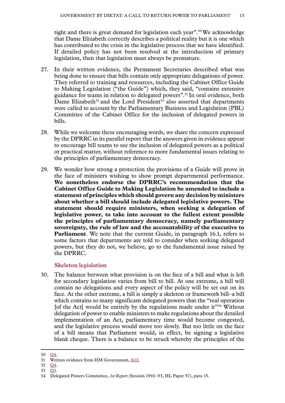<span id="page-14-0"></span>tight and there is great demand for legislation each year".30We acknowledge that Dame Elizabeth correctly describes a political reality but it is one which has contributed to the crisis in the legislative process that we have identified. If detailed policy has not been resolved at the introduction of primary legislation, then that legislation must always be premature.

- 27. In their written evidence, the Permanent Secretaries described what was being done to ensure that bills contain only appropriate delegations of power. They referred to training and resources, including the Cabinet Office Guide to Making Legislation ("the Guide") which, they said, "contains extensive guidance for teams in relation to delegated powers".31 In oral evidence, both Dame Elizabeth<sup>32</sup> and the Lord President<sup>33</sup> also asserted that departments were called to account by the Parliamentary Business and Legislation (PBL) Committee of the Cabinet Office for the inclusion of delegated powers in bills.
- 28. While we welcome these encouraging words, we share the concern expressed by the DPRRC in its parallel report that the answers given in evidence appear to encourage bill teams to see the inclusion of delegated powers as a political or practical matter, without reference to more fundamental issues relating to the principles of parliamentary democracy.
- 29. We wonder how strong a protection the provisions of a Guide will prove in the face of ministers wishing to show prompt departmental performance. **We nonetheless endorse the DPRRC's recommendation that the Cabinet Office Guide to Making Legislation be amended to include a statement of principles which should govern any decision by ministers about whether a bill should include delegated legislative powers. The statement should require ministers, when seeking a delegation of legislative power, to take into account to the fullest extent possible the principles of parliamentary democracy, namely parliamentary sovereignty, the rule of law and the accountability of the executive to Parliament**. We note that the current Guide, in paragraph 16.1, refers to some factors that departments are told to consider when seeking delegated powers, but they do not, we believe, go to the fundamental issue raised by the DPRRC.

#### **Skeleton legislation**

30. The balance between what provision is on the face of a bill and what is left for secondary legislation varies from bill to bill. At one extreme, a bill will contain no delegations and every aspect of the policy will be set out on its face. At the other extreme, a bill is simply a skeleton or framework bill–a bill which contains so many significant delegated powers that the "real operation" [of the Act] would be entirely by the regulations made under  $it^{\prime\prime}$ <sup>34</sup> Without delegation of power to enable ministers to make regulations about the detailed implementation of an Act, parliamentary time would become congested, and the legislative process would move too slowly. But too little on the face of a bill means that Parliament would, in effect, be signing a legislative blank cheque. There is a balance to be struck whereby the principles of the

33 [Q3.](https://committees.parliament.uk/oralevidence/2063/default/)

<sup>31</sup> Written evidence from HM Government, [A12.](https://committees.parliament.uk/publications/7862/documents/81684/default/)

<sup>30</sup> [Q4](https://committees.parliament.uk/oralevidence/2063/default/). 32 [Q4](https://committees.parliament.uk/oralevidence/2063/default/).

<sup>34</sup> Delegated Powers Committee, *1st Report* (Session 1992–93, HL Paper 57), para 15.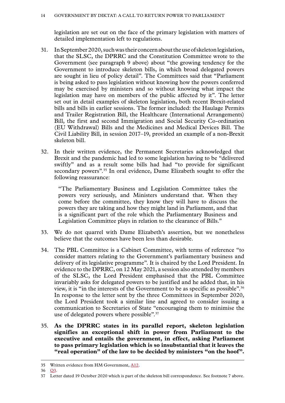legislation are set out on the face of the primary legislation with matters of detailed implementation left to regulations.

- 31. In September 2020, such was their concern about the use of skeleton legislation, that the SLSC, the DPRRC and the Constitution Committee wrote to the Government (see paragraph 9 above) about "the growing tendency for the Government to introduce skeleton bills, in which broad delegated powers are sought in lieu of policy detail". The Committees said that "Parliament is being asked to pass legislation without knowing how the powers conferred may be exercised by ministers and so without knowing what impact the legislation may have on members of the public affected by it". The letter set out in detail examples of skeleton legislation, both recent Brexit-related bills and bills in earlier sessions. The former included: the Haulage Permits and Trailer Registration Bill, the Healthcare (International Arrangements) Bill, the first and second Immigration and Social Security Co-ordination (EU Withdrawal) Bills and the Medicines and Medical Devices Bill. The Civil Liability Bill, in session 2017–19, provided an example of a non-Brexit skeleton bill.
- 32. In their written evidence, the Permanent Secretaries acknowledged that Brexit and the pandemic had led to some legislation having to be "delivered swiftly" and as a result some bills had had "to provide for significant secondary powers".<sup>35</sup> In oral evidence, Dame Elizabeth sought to offer the following reassurance:

"The Parliamentary Business and Legislation Committee takes the powers very seriously, and Ministers understand that. When they come before the committee, they know they will have to discuss the powers they are taking and how they might land in Parliament, and that is a significant part of the role which the Parliamentary Business and Legislation Committee plays in relation to the clearance of Bills."

- 33. We do not quarrel with Dame Elizabeth's assertion, but we nonetheless believe that the outcomes have been less than desirable.
- 34. The PBL Committee is a Cabinet Committee, with terms of reference "to consider matters relating to the Government's parliamentary business and delivery of its legislative programme". It is chaired by the Lord President. In evidence to the DPRRC, on 12 May 2021, a session also attended by members of the SLSC, the Lord President emphasised that the PBL Committee invariably asks for delegated powers to be justified and he added that, in his view, it is "in the interests of the Government to be as specific as possible".36 In response to the letter sent by the three Committees in September 2020, the Lord President took a similar line and agreed to consider issuing a communication to Secretaries of State "encouraging them to minimise the use of delegated powers where possible".<sup>37</sup>
- 35. **As the DPRRC states in its parallel report, skeleton legislation signifies an exceptional shift in power from Parliament to the executive and entails the government, in effect, asking Parliament to pass primary legislation which is so insubstantial that it leaves the "real operation" of the law to be decided by ministers "on the hoof".**

<sup>35</sup> Written evidence from HM Government, [A12.](https://committees.parliament.uk/publications/7862/documents/81684/default/)

<sup>36</sup> [Q3.](https://committees.parliament.uk/oralevidence/2175/html/)

<sup>37</sup> Letter dated 19 October 2020 which is part of the skeleton bill correspondence. See footnote 7 above.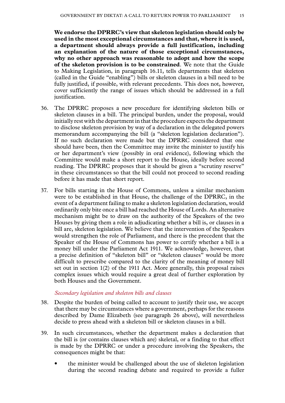<span id="page-16-0"></span>**We endorse the DPRRC's view that skeleton legislation should only be used in the most exceptional circumstances and that, where it is used, a department should always provide a full justification, including an explanation of the nature of those exceptional circumstances, why no other approach was reasonable to adopt and how the scope of the skeleton provision is to be constrained**. We note that the Guide to Making Legislation, in paragraph 16.11, tells departments that skeleton (called in the Guide "enabling") bills or skeleton clauses in a bill need to be fully justified, if possible, with relevant precedents. This does not, however, cover sufficiently the range of issues which should be addressed in a full justification.

- 36. The DPRRC proposes a new procedure for identifying skeleton bills or skeleton clauses in a bill. The principal burden, under the proposal, would initially rest with the department in that the procedure expects the department to disclose skeleton provision by way of a declaration in the delegated powers memorandum accompanying the bill (a "skeleton legislation declaration"). If no such declaration were made but the DPRRC considered that one should have been, then the Committee may invite the minister to justify his or her department's view (possibly in oral evidence), following which the Committee would make a short report to the House, ideally before second reading. The DPRRC proposes that it should be given a "scrutiny reserve" in these circumstances so that the bill could not proceed to second reading before it has made that short report.
- 37. For bills starting in the House of Commons, unless a similar mechanism were to be established in that House, the challenge of the DPRRC, in the event of a department failing to make a skeleton legislation declaration, would ordinarily only bite once a bill had reached the House of Lords. An alternative mechanism might be to draw on the authority of the Speakers of the two Houses by giving them a role in adjudicating whether a bill is, or clauses in a bill are, skeleton legislation. We believe that the intervention of the Speakers would strengthen the role of Parliament, and there is the precedent that the Speaker of the House of Commons has power to certify whether a bill is a money bill under the Parliament Act 1911. We acknowledge, however, that a precise definition of "skeleton bill" or "skeleton clauses" would be more difficult to prescribe compared to the clarity of the meaning of money bill set out in section 1(2) of the 1911 Act. More generally, this proposal raises complex issues which would require a great deal of further exploration by both Houses and the Government.

#### *Secondary legislation and skeleton bills and clauses*

- 38. Despite the burden of being called to account to justify their use, we accept that there may be circumstances where a government, perhaps for the reasons described by Dame Elizabeth (see paragraph 26 above), will nevertheless decide to press ahead with a skeleton bill or skeleton clauses in a bill.
- 39. In such circumstances, whether the department makes a declaration that the bill is (or contains clauses which are) skeletal, or a finding to that effect is made by the DPRRC or under a procedure involving the Speakers, the consequences might be that:
	- the minister would be challenged about the use of skeleton legislation during the second reading debate and required to provide a fuller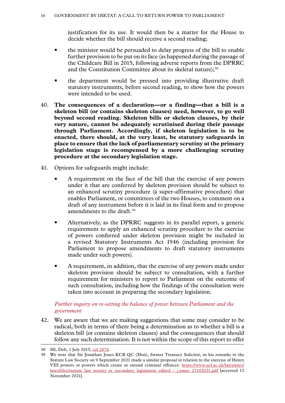justification for its use. It would then be a matter for the House to decide whether the bill should receive a second reading;

- <span id="page-17-0"></span>• the minister would be persuaded to delay progress of the bill to enable further provision to be put on its face (as happened during the passage of the Childcare Bill in 2015, following adverse reports from the DPRRC and the Constitution Committee about its skeletal nature);<sup>38</sup>
- the department would be pressed into providing illustrative draft statutory instruments, before second reading, to show how the powers were intended to be used.
- 40. **The consequences of a declaration—or a finding—that a bill is a skeleton bill (or contains skeleton clauses) need, however, to go well beyond second reading. Skeleton bills or skeleton clauses, by their very nature, cannot be adequately scrutinised during their passage through Parliament. Accordingly, if skeleton legislation is to be enacted, there should, at the very least, be statutory safeguards in place to ensure that the lack of parliamentary scrutiny at the primary legislation stage is recompensed by a more challenging scrutiny procedure at the secondary legislation stage.**
- 41. Options for safeguards might include:
	- A requirement on the face of the bill that the exercise of any powers under it that are conferred by skeleton provision should be subject to an enhanced scrutiny procedure (a super-affirmative procedure) that enables Parliament, or committees of the two Houses, to comment on a draft of any instrument before it is laid in its final form and to propose amendments to the draft.<sup>39</sup>
	- Alternatively, as the DPRRC suggests in its parallel report, a generic requirement to apply an enhanced scrutiny procedure to the exercise of powers conferred under skeleton provision might be included in a revised Statutory Instruments Act 1946 (including provision for Parliament to propose amendments to draft statutory instruments made under such powers).
	- A requirement, in addition, that the exercise of any powers made under skeleton provision should be subject to consultation, with a further requirement for ministers to report to Parliament on the outcome of such consultation, including how the findings of the consultation were taken into account in preparing the secondary legislation.

#### *Further inquiry on re-setting the balance of power between Parliament and the government*

42. We are aware that we are making suggestions that some may consider to be radical, both in terms of there being a determination as to whether a bill is a skeleton bill (or contains skeleton clauses) and the consequences that should follow any such determination. It is not within the scope of this report to offer

<sup>38</sup> HL Deb, 1 July 2015, [col 2074](https://publications.parliament.uk/pa/ld201516/ldhansrd/text/150701-0001.htm).

<sup>39</sup> We note that Sir Jonathan Jones KCB QC (Hon), former Treasury Solicitor, in his remarks to the Statute Law Society on 9 September 2021 made a similar proposal in relation to the exercise of Henry VIII powers or powers which create or extend criminal offences: [https://www.ucl.ac.uk/laws/sites/](https://www.ucl.ac.uk/laws/sites/laws/files/statute_law_society_re_secondary_legislation_edited_-_j.jones_27102021.pdf) [laws/files/statute\\_law\\_society\\_re\\_secondary\\_legislation\\_edited\\_-\\_j.jones\\_27102021.pdf](https://www.ucl.ac.uk/laws/sites/laws/files/statute_law_society_re_secondary_legislation_edited_-_j.jones_27102021.pdf) [accessed 12 November 2021].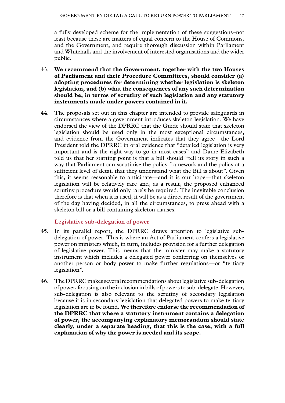<span id="page-18-0"></span>a fully developed scheme for the implementation of these suggestions–not least because these are matters of equal concern to the House of Commons, and the Government, and require thorough discussion within Parliament and Whitehall, and the involvement of interested organisations and the wider public.

- 43. **We recommend that the Government, together with the two Houses of Parliament and their Procedure Committees, should consider (a) adopting procedures for determining whether legislation is skeleton legislation, and (b) what the consequences of any such determination should be, in terms of scrutiny of such legislation and any statutory instruments made under powers contained in it.**
- 44. The proposals set out in this chapter are intended to provide safeguards in circumstances where a government introduces skeleton legislation. We have endorsed the view of the DPRRC that the Guide should state that skeleton legislation should be used only in the most exceptional circumstances, and evidence from the Government indicates that they agree—the Lord President told the DPRRC in oral evidence that "detailed legislation is very important and is the right way to go in most cases" and Dame Elizabeth told us that her starting point is that a bill should "tell its story in such a way that Parliament can scrutinise the policy framework and the policy at a sufficient level of detail that they understand what the Bill is about". Given this, it seems reasonable to anticipate—and it is our hope—that skeleton legislation will be relatively rare and, as a result, the proposed enhanced scrutiny procedure would only rarely be required. The inevitable conclusion therefore is that when it is used, it will be as a direct result of the government of the day having decided, in all the circumstances, to press ahead with a skeleton bill or a bill containing skeleton clauses.

#### **Legislative sub-delegation of power**

- 45. In its parallel report, the DPRRC draws attention to legislative subdelegation of power. This is where an Act of Parliament confers a legislative power on ministers which, in turn, includes provision for a further delegation of legislative power. This means that the minister may make a statutory instrument which includes a delegated power conferring on themselves or another person or body power to make further regulations—or "tertiary legislation".
- 46. The DPRRC makes several recommendations about legislative sub-delegation of power, focusing on the inclusion in bills of powers to sub-delegate. However, sub-delegation is also relevant to the scrutiny of secondary legislation because it is in secondary legislation that delegated powers to make tertiary legislation are to be found. **We therefore endorse the recommendation of the DPRRC that where a statutory instrument contains a delegation of power, the accompanying explanatory memorandum should state clearly, under a separate heading, that this is the case, with a full explanation of why the power is needed and its scope.**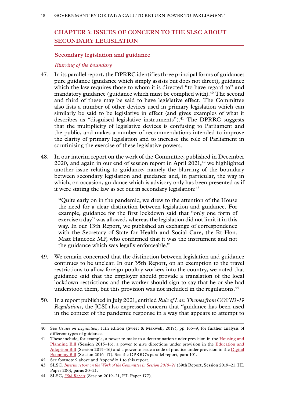# <span id="page-19-0"></span>**Chapter 3: ISSUES OF CONCERN TO THE SLSC ABOUT SECONDARY LEGISLATION**

#### **Secondary legislation and guidance**

#### *Blurring of the boundary*

- 47. In its parallel report, the DPRRC identifies three principal forms of guidance: pure guidance (guidance which simply assists but does not direct), guidance which the law requires those to whom it is directed "to have regard to" and mandatory guidance (guidance which must be complied with).<sup>40</sup> The second and third of these may be said to have legislative effect. The Committee also lists a number of other devices used in primary legislation which can similarly be said to be legislative in effect (and gives examples of what it describes as "disguised legislative instruments").<sup>41</sup> The DPRRC suggests that the multiplicity of legislative devices is confusing to Parliament and the public, and makes a number of recommendations intended to improve the clarity of primary legislation and to increase the role of Parliament in scrutinising the exercise of these legislative powers.
- 48. In our interim report on the work of the Committee, published in December 2020, and again in our end of session report in April  $2021$ ,<sup>42</sup> we highlighted another issue relating to guidance, namely the blurring of the boundary between secondary legislation and guidance and, in particular, the way in which, on occasion, guidance which is advisory only has been presented as if it were stating the law as set out in secondary legislation:<sup>43</sup>

"Quite early on in the pandemic, we drew to the attention of the House the need for a clear distinction between legislation and guidance. For example, guidance for the first lockdown said that "only one form of exercise a day" was allowed, whereas the legislation did not limit it in this way. In our 13th Report, we published an exchange of correspondence with the Secretary of State for Health and Social Care, the Rt Hon. Matt Hancock MP, who confirmed that it was the instrument and not the guidance which was legally enforceable."

- 49. We remain concerned that the distinction between legislation and guidance continues to be unclear. In our 35th Report, on an exemption to the travel restrictions to allow foreign poultry workers into the country, we noted that guidance said that the employer should provide a translation of the local lockdown restrictions and the worker should sign to say that he or she had understood them, but this provision was not included in the regulations.<sup>44</sup>
- 50. In a report published in July 2021, entitled *Rule of Law Themes from COVID-19 Regulations*, the JCSI also expressed concern that "guidance has been used in the context of the pandemic response in a way that appears to attempt to

<sup>40</sup> See *Craies on Legislation*, 11th edition (Sweet & Maxwell, 2017), pp 165–9, for further analysis of different types of guidance.

<sup>41</sup> These include, for example, a power to make to a determination under provision in the [Housing and](https://publications.parliament.uk/pa/cm201516/cmpublic/housingplanning/memo/hpb129.htm) [Planning Bill](https://publications.parliament.uk/pa/cm201516/cmpublic/housingplanning/memo/hpb129.htm) (Session 2015–16), a power to give directions under provision in the [Education and](https://publications.parliament.uk/pa/cm201516/cmpublic/educationadoption/memo/educ04.htm) [Adoption Bill](https://publications.parliament.uk/pa/cm201516/cmpublic/educationadoption/memo/educ04.htm) (Session 2015–16) and a power to issue a code of practice under provision in the [Digital](https://publications.parliament.uk/pa/cm201617/cmpublic/digitaleconomy/memo/DEB42.htm) [Economy Bill](https://publications.parliament.uk/pa/cm201617/cmpublic/digitaleconomy/memo/DEB42.htm) (Session 2016–17). See the DPRRC's parallel report, para 101.

<sup>42</sup> See footnote 9 above and Appendix 1 to this report.

<sup>43</sup> SLSC, *[Interim report on the Work of the Committee in Session 2019–21](https://committees.parliament.uk/publications/4105/documents/40792/default/)* ([39th Report](https://committees.parliament.uk/publications/4105/documents/40792/default/), Session 2019–21, HL Paper 200), paras 20–21.

<sup>44</sup> SLSC, *[35th Report](https://committees.parliament.uk/publications/3701/documents/35960/default/)* (Session 2019–21, HL Paper 177).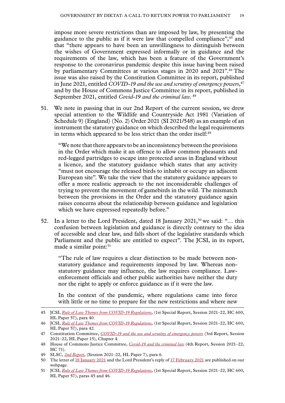impose more severe restrictions than are imposed by law, by presenting the guidance to the public as if it were law that compelled compliance",<sup>45</sup> and that "there appears to have been an unwillingness to distinguish between the wishes of Government expressed informally or in guidance and the requirements of the law, which has been a feature of the Government's response to the coronavirus pandemic despite this issue having been raised by parliamentary Committees at various stages in 2020 and 2021".46 The issue was also raised by the Constitution Committee in its report, published in June 2021, entitled *COVID-19 and the use and scrutiny of emergency powers*, 47 and by the House of Commons Justice Committee in its report, published in September 2021, entitled *Covid-19 and the criminal law.*.48

51. We note in passing that in our 2nd Report of the current session, we drew special attention to the Wildlife and Countryside Act 1981 (Variation of Schedule 9) (England) (No. 2) Order 2021 (SI 2021/548) as an example of an instrument the statutory guidance on which described the legal requirements in terms which appeared to be less strict than the order itself:<sup>49</sup>

"We note that there appears to be an inconsistency between the provisions in the Order which make it an offence to allow common pheasants and red-legged partridges to escape into protected areas in England without a licence, and the statutory guidance which states that any activity "must not encourage the released birds to inhabit or occupy an adjacent European site". We take the view that the statutory guidance appears to offer a more realistic approach to the not inconsiderable challenges of trying to prevent the movement of gamebirds in the wild. The mismatch between the provisions in the Order and the statutory guidance again raises concerns about the relationship between guidance and legislation which we have expressed repeatedly before."

52. In a letter to the Lord President, dated 18 January  $2021$ ,<sup>50</sup> we said: "... this confusion between legislation and guidance is directly contrary to the idea of accessible and clear law, and falls short of the legislative standards which Parliament and the public are entitled to expect". The JCSI, in its report, made a similar point:<sup>51</sup>

"The rule of law requires a clear distinction to be made between nonstatutory guidance and requirements imposed by law. Whereas nonstatutory guidance may influence, the law requires compliance. Lawenforcement officials and other public authorities have neither the duty nor the right to apply or enforce guidance as if it were the law.

In the context of the pandemic, where regulations came into force with little or no time to prepare for the new restrictions and where new

<sup>45</sup> JCSI, *Rule of Law Themes from COVID-19 Regulations*, (1st Special Report, Session 2021–22, HC 600, HL Paper 57), para 40.

<sup>46</sup> JCSI, *Rule of Law Themes from COVID-19 Regulations*, (1st Special Report, Session 2021–22, HC 600, HL Paper 57), para 42.

<sup>47</sup> Constitution Committee, *COVID-19 and the use and scrutiny of emergency powers* (3rd Report, Session 2021–22, HL Paper 15), Chapter 4.

<sup>48</sup> House of Commons Justice Committee, *[Covid-19 and the criminal law](https://committees.parliament.uk/publications/7439/documents/77794/default/)* [\(4th Report,](https://committees.parliament.uk/publications/7439/documents/77794/default/) Session 2021–22, HC 71).

<sup>49</sup> SLSC, *[2nd Report](https://publications.parliament.uk/pa/ld5802/ldselect/ldsecleg/7/703.htm)*, (Session 2021–22, HL Paper 7), para 6.

<sup>50</sup> The letter of [18 January 2021](https://committees.parliament.uk/publications/4383/documents/44372/default/) and the Lord President's reply of [17 February 2021](https://committees.parliament.uk/publications/4929/documents/49319/default/) are published on our webpage.

<sup>51</sup> JCSI, *Rule of Law Themes from COVID-19 Regulations*, (1st Special Report, Session 2021–22, HC 600, HL Paper 57), paras 45 and 46.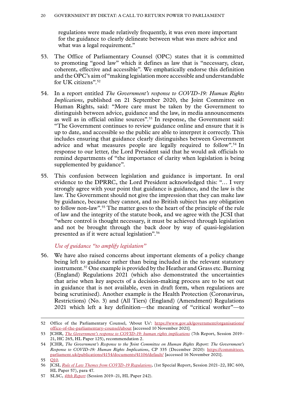<span id="page-21-0"></span>regulations were made relatively frequently, it was even more important for the guidance to clearly delineate between what was mere advice and what was a legal requirement."

- 53. The Office of Parliamentary Counsel (OPC) states that it is committed to promoting "good law" which it defines as law that is "necessary, clear, coherent, effective and accessible". We emphatically endorse this definition and the OPC's aim of "making legislation more accessible and understandable for UK citizens".52
- 54. In a report entitled *The Government's response to COVID-19: Human Rights Implications*, published on 21 September 2020, the Joint Committee on Human Rights, said: "More care must be taken by the Government to distinguish between advice, guidance and the law, in media announcements as well as in official online sources".53 In response, the Government said: "The Government continues to review guidance online and ensure that it is up to date, and accessible so the public are able to interpret it correctly. This includes ensuring that guidance clearly distinguishes between Government advice and what measures people are legally required to follow".54 In response to our letter, the Lord President said that he would ask officials to remind departments of "the importance of clarity when legislation is being supplemented by guidance".
- 55. This confusion between legislation and guidance is important. In oral evidence to the DPRRC, the Lord President acknowledged this: "… I very strongly agree with your point that guidance is guidance, and the law is the law. The Government should not give the impression that they can make law by guidance, because they cannot, and no British subject has any obligation to follow non-law".55 The matter goes to the heart of the principle of the rule of law and the integrity of the statute book, and we agree with the JCSI that "where control is thought necessary, it must be achieved through legislation and not be brought through the back door by way of quasi-legislation presented as if it were actual legislation".56

*Use of guidance "to amplify legislation"*

56. We have also raised concerns about important elements of a policy change being left to guidance rather than being included in the relevant statutory instrument.57 One example is provided by the Heather and Grass etc. Burning (England) Regulations 2021 (which also demonstrated the uncertainties that arise when key aspects of a decision-making process are to be set out in guidance that is not available, even in draft form, when regulations are being scrutinised). Another example is the Health Protection (Coronavirus, Restrictions) (No. 3) and (All Tiers) (England) (Amendment) Regulations 2021 which left a key definition—the meaning of "critical worker"—to

<sup>52</sup> Office of the Parliamentary Counsel, 'About Us': [https://www.gov.uk/government/organisations/](https://www.gov.uk/government/organisations/office-of-the-parliamentary-counsel/about) [office-of-the-parliamentary-counsel/about](https://www.gov.uk/government/organisations/office-of-the-parliamentary-counsel/about) [accessed 10 November 2021].

<sup>53</sup> JCHR, *The Government's response to COVID-19: human rights implications* (7th Report, Session 2019– 21, HC 265, HL Paper 125), recommendation 2.

<sup>54</sup> JCHR, *The Government's Response to the Joint Committee on Human Rights Report: The Government's Response to COVID-19: Human Rights Implications*, CP 335 (December 2020): [https://committees.](https://committees.parliament.uk/publications/4154/documents/41106/default/) [parliament.uk/publications/4154/documents/41106/default/](https://committees.parliament.uk/publications/4154/documents/41106/default/) [accessed 16 November 2021].

<sup>55</sup> [Q10](https://committees.parliament.uk/oralevidence/2175/html/).

<sup>56</sup> JCSI, *Rule of Law Themes from COVID-19 Regulations*, (1st Special Report, Session 2021–22, HC 600, HL Paper 57), para 47.

<sup>57</sup> SLSC, *[48th Report](https://publications.parliament.uk/pa/ld5801/ldselect/ldsecleg/242/24203.htm)* (Session 2019–21, HL Paper 242).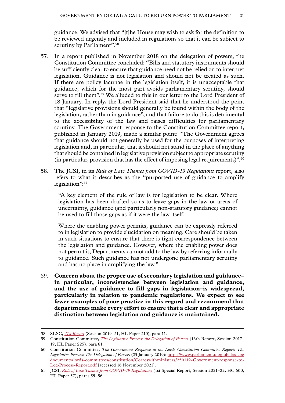guidance. We advised that "[t]he House may wish to ask for the definition to be reviewed urgently and included in regulations so that it can be subject to scrutiny by Parliament".<sup>58</sup>

- 57. In a report published in November 2018 on the delegation of powers, the Constitution Committee concluded: "Bills and statutory instruments should be sufficiently clear to ensure that guidance need not be relied on to interpret legislation. Guidance is not legislation and should not be treated as such. If there are policy lacunae in the legislation itself, it is unacceptable that guidance, which for the most part avoids parliamentary scrutiny, should serve to fill them".<sup>59</sup> We alluded to this in our letter to the Lord President of 18 January. In reply, the Lord President said that he understood the point that "legislative provisions should generally be found within the body of the legislation, rather than in guidance", and that failure to do this is detrimental to the accessibility of the law and raises difficulties for parliamentary scrutiny. The Government response to the Constitution Committee report, published in January 2019, made a similar point: "The Government agrees that guidance should not generally be used for the purposes of interpreting legislation and, in particular, that it should not stand in the place of anything that should be contained in legislative provision subject to appropriate scrutiny (in particular, provision that has the effect of imposing legal requirements)". $60$
- 58. The JCSI, in its *Rule of Law Themes from COVID-19 Regulations* report, also refers to what it describes as the "purported use of guidance to amplify legislation":<sup>61</sup>

"A key element of the rule of law is for legislation to be clear. Where legislation has been drafted so as to leave gaps in the law or areas of uncertainty, guidance (and particularly non-statutory guidance) cannot be used to fill those gaps as if it were the law itself.

Where the enabling power permits, guidance can be expressly referred to in legislation to provide elucidation on meaning. Care should be taken in such situations to ensure that there is tight correspondence between the legislation and guidance. However, where the enabling power does not permit it, Departments cannot add to the law by referring informally to guidance. Such guidance has not undergone parliamentary scrutiny and has no place in amplifying the law."

59. **Concern about the proper use of secondary legislation and guidance– in particular, inconsistencies between legislation and guidance, and the use of guidance to fill gaps in legislation–is widespread, particularly in relation to pandemic regulations. We expect to see fewer examples of poor practice in this regard and recommend that departments make every effort to ensure that a clear and appropriate distinction between legislation and guidance is maintained.**

<sup>58</sup> SLSC, *[41st Report](https://publications.parliament.uk/pa/ld5801/ldselect/ldsecleg/210/21006.htm)* (Session 2019–21, HL Paper 210), para 11.

<sup>59</sup> Constitution Committee, *[The Legislative Process: the Delegation of Powers](https://publications.parliament.uk/pa/ld201719/ldselect/ldconst/225/225.pdf)* ([16th Report](https://publications.parliament.uk/pa/ld201719/ldselect/ldconst/225/225.pdf), Session 2017– 19, HL Paper 225), para 81.

<sup>60</sup> Constitution Committee, *The Government Response to the Lords Constitution Committee Report: The Legislative Process: The Delegation of Powers* (25 January 2019): [https://www.parliament.uk/globalassets/](https://www.parliament.uk/globalassets/documents/lords-committees/constitution/Correswithministers/250119-Government-response-to-Leg-Process-Report.pdf) [documents/lords-committees/constitution/Correswithministers/250119-Government-response-to-](https://www.parliament.uk/globalassets/documents/lords-committees/constitution/Correswithministers/250119-Government-response-to-Leg-Process-Report.pdf)[Leg-Process-Report.pdf](https://www.parliament.uk/globalassets/documents/lords-committees/constitution/Correswithministers/250119-Government-response-to-Leg-Process-Report.pdf) [accessed 16 November 2021].

<sup>61</sup> JCSI, *Rule of Law Themes from COVID-19 Regulations* (1st Special Report, Session 2021–22, HC 600, HL Paper 57), paras 55–56.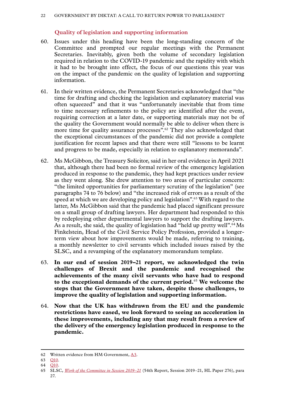#### **Quality of legislation and supporting information**

- <span id="page-23-0"></span>60. Issues under this heading have been the long-standing concern of the Committee and prompted our regular meetings with the Permanent Secretaries. Inevitably, given both the volume of secondary legislation required in relation to the COVID-19 pandemic and the rapidity with which it had to be brought into effect, the focus of our questions this year was on the impact of the pandemic on the quality of legislation and supporting information.
- 61. In their written evidence, the Permanent Secretaries acknowledged that "the time for drafting and checking the legislation and explanatory material was often squeezed" and that it was "unfortunately inevitable that from time to time necessary refinements to the policy are identified after the event, requiring correction at a later date, or supporting materials may not be of the quality the Government would normally be able to deliver when there is more time for quality assurance processes".<sup>62</sup> They also acknowledged that the exceptional circumstances of the pandemic did not provide a complete justification for recent lapses and that there were still "lessons to be learnt and progress to be made, especially in relation to explanatory memoranda".
- 62. Ms McGibbon, the Treasury Solicitor, said in her oral evidence in April 2021 that, although there had been no formal review of the emergency legislation produced in response to the pandemic, they had kept practices under review as they went along. She drew attention to two areas of particular concern: "the limited opportunities for parliamentary scrutiny of the legislation" (see paragraphs 74 to 76 below) and "the increased risk of errors as a result of the speed at which we are developing policy and legislation".63 With regard to the latter, Ms McGibbon said that the pandemic had placed significant pressure on a small group of drafting lawyers. Her department had responded to this by redeploying other departmental lawyers to support the drafting lawyers. As a result, she said, the quality of legislation had "held up pretty well".<sup>64</sup>Ms Finkelstein, Head of the Civil Service Policy Profession, provided a longerterm view about how improvements would be made, referring to training, a monthly newsletter to civil servants which included issues raised by the SLSC, and a revamping of the explanatory memorandum template.
- 63. **In our end of session 2019–21 report, we acknowledged the twin challenges of Brexit and the pandemic and recognised the achievements of the many civil servants who have had to respond to the exceptional demands of the current period.**<sup>65</sup> **We welcome the steps that the Government have taken, despite those challenges, to improve the quality of legislation and supporting information.**
- 64. **Now that the UK has withdrawn from the EU and the pandemic restrictions have eased, we look forward to seeing an acceleration in these improvements, including any that may result from a review of the delivery of the emergency legislation produced in response to the pandemic.**

<sup>62</sup> Written evidence from HM Government, [A3.](https://committees.parliament.uk/publications/7862/documents/81684/default/)

<sup>63</sup> [Q10](https://committees.parliament.uk/oralevidence/2063/default/).

<sup>64</sup> [Q10](https://committees.parliament.uk/oralevidence/2063/default/).

<sup>65</sup> SLSC, *[Work of the Committee in Session 2019–21](https://publications.parliament.uk/pa/ld5801/ldselect/ldsecleg/276/27604.htm)* (54th Report, Session 2019–21, HL Paper 276), para 27.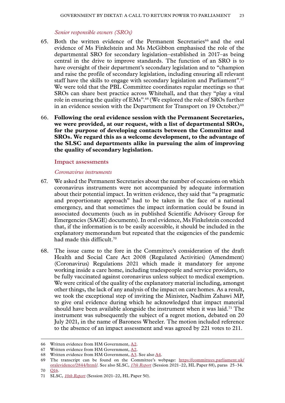#### *Senior responsible owners (SROs)*

- <span id="page-24-0"></span>65. Both the written evidence of the Permanent Secretaries<sup>66</sup> and the oral evidence of Ms Finkelstein and Ms McGibbon emphasised the role of the departmental SRO for secondary legislation–established in 2017–as being central in the drive to improve standards. The function of an SRO is to have oversight of their department's secondary legislation and to "champion and raise the profile of secondary legislation, including ensuring all relevant staff have the skills to engage with secondary legislation and Parliament".<sup>67</sup> We were told that the PBL Committee coordinates regular meetings so that SROs can share best practice across Whitehall, and that they "play a vital role in ensuring the quality of EMs".68 (We explored the role of SROs further in an evidence session with the Department for Transport on 19 October.)<sup>69</sup>
- 66. **Following the oral evidence session with the Permanent Secretaries, we were provided, at our request, with a list of departmental SROs, for the purpose of developing contacts between the Committee and SROs. We regard this as a welcome development, to the advantage of the SLSC and departments alike in pursuing the aim of improving the quality of secondary legislation.**

#### **Impact assessments**

#### *Coronavirus instruments*

- 67. We asked the Permanent Secretaries about the number of occasions on which coronavirus instruments were not accompanied by adequate information about their potential impact. In written evidence, they said that "a pragmatic and proportionate approach" had to be taken in the face of a national emergency, and that sometimes the impact information could be found in associated documents (such as in published Scientific Advisory Group for Emergencies (SAGE) documents). In oral evidence, Ms Finkelstein conceded that, if the information is to be easily accessible, it should be included in the explanatory memorandum but repeated that the exigencies of the pandemic had made this difficult.70
- 68. The issue came to the fore in the Committee's consideration of the draft Health and Social Care Act 2008 (Regulated Activities) (Amendment) (Coronavirus) Regulations 2021 which made it mandatory for anyone working inside a care home, including tradespeople and service providers, to be fully vaccinated against coronavirus unless subject to medical exemption. We were critical of the quality of the explanatory material including, amongst other things, the lack of any analysis of the impact on care homes. As a result, we took the exceptional step of inviting the Minister, Nadhim Zahawi MP, to give oral evidence during which he acknowledged that impact material should have been available alongside the instrument when it was laid.<sup>71</sup> The instrument was subsequently the subject of a regret motion, debated on 20 July 2021, in the name of Baroness Wheeler. The motion included reference to the absence of an impact assessment and was agreed by 221 votes to 211.

<sup>66</sup> Written evidence from HM Government, [A2](https://committees.parliament.uk/publications/7862/documents/81684/default/).

<sup>67</sup> Written evidence from HM Government, [A2](https://committees.parliament.uk/publications/7862/documents/81684/default/).

<sup>68</sup> Written evidence from HM Government,  $\underline{A3}$ . See also  $\underline{A4}$  $\underline{A4}$  $\underline{A4}$ .

<sup>69</sup> The transcript can be found on the Committee's webpage: [https://committees.parliament.uk/](https://committees.parliament.uk/oralevidence/2844/html/) [oralevidence/2844/html/](https://committees.parliament.uk/oralevidence/2844/html/). See also SLSC, *[17th Report](https://publications.parliament.uk/pa/ld5802/ldselect/ldsecleg/88/8806.htm)* (Session 2021–22, HL Paper 88), paras 25–34. 70 [Q16](https://committees.parliament.uk/oralevidence/2063/default/).

<sup>71</sup> SLSC, *[10th Report](https://committees.parliament.uk/publications/6810/documents/72255/default/)* (Session 2021–22, HL Paper 50).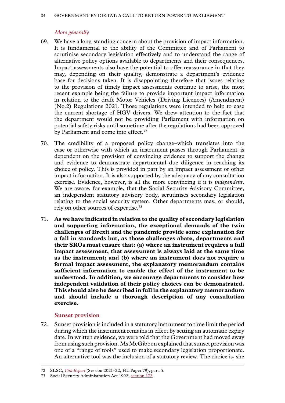#### *More generally*

- <span id="page-25-0"></span>69. We have a long-standing concern about the provision of impact information. It is fundamental to the ability of the Committee and of Parliament to scrutinise secondary legislation effectively and to understand the range of alternative policy options available to departments and their consequences. Impact assessments also have the potential to offer reassurance in that they may, depending on their quality, demonstrate a department's evidence base for decisions taken. It is disappointing therefore that issues relating to the provision of timely impact assessments continue to arise, the most recent example being the failure to provide important impact information in relation to the draft Motor Vehicles (Driving Licences) (Amendment) (No.2) Regulations 2021. Those regulations were intended to help to ease the current shortage of HGV drivers. We drew attention to the fact that the department would not be providing Parliament with information on potential safety risks until sometime after the regulations had been approved by Parliament and come into effect.<sup>72</sup>
- 70. The credibility of a proposed policy change–which translates into the ease or otherwise with which an instrument passes through Parliament–is dependent on the provision of convincing evidence to support the change and evidence to demonstrate departmental due diligence in reaching its choice of policy. This is provided in part by an impact assessment or other impact information. It is also supported by the adequacy of any consultation exercise. Evidence, however, is all the more convincing if it is *independent*. We are aware, for example, that the Social Security Advisory Committee, an independent statutory advisory body, scrutinises secondary legislation relating to the social security system. Other departments may, or should, rely on other sources of expertise.73
- 71. **As we have indicated in relation to the quality of secondary legislation and supporting information, the exceptional demands of the twin challenges of Brexit and the pandemic provide some explanation for a fall in standards but, as those challenges abate, departments and their SROs must ensure that: (a) where an instrument requires a full impact assessment, that assessment is always laid at the same time as the instrument; and (b) where an instrument does not require a formal impact assessment, the explanatory memorandum contains sufficient information to enable the effect of the instrument to be understood. In addition, we encourage departments to consider how independent validation of their policy choices can be demonstrated. This should also be described in full in the explanatory memorandum and should include a thorough description of any consultation exercise.**

#### **Sunset provision**

72. Sunset provision is included in a statutory instrument to time limit the period during which the instrument remains in effect by setting an automatic expiry date. In written evidence, we were told that the Government had moved away from using such provision. Ms McGibbon explained that sunset provision was one of a "range of tools" used to make secondary legislation proportionate. An alternative tool was the inclusion of a statutory review. The choice is, she

<sup>72</sup> SLSC, *[15th Report](https://publications.parliament.uk/pa/ld5802/ldselect/ldsecleg/79/7903.htm)* (Session 2021–22, HL Paper 79), para 5.

<sup>73</sup> Social Security Administration Act 1992, [section 172.](https://www.legislation.gov.uk/ukpga/1992/5/section/172/enacted)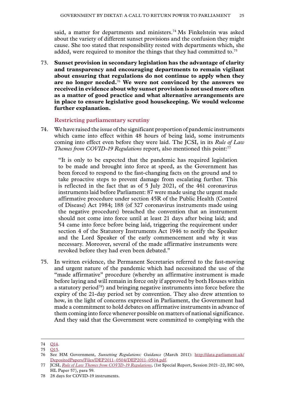<span id="page-26-0"></span>said, a matter for departments and ministers.<sup>74</sup> Ms Finkelstein was asked about the variety of different sunset provisions and the confusion they might cause. She too stated that responsibility rested with departments which, she added, were required to monitor the things that they had committed to.75

73. **Sunset provision in secondary legislation has the advantage of clarity and transparency and encouraging departments to remain vigilant about ensuring that regulations do not continue to apply when they are no longer needed.**<sup>76</sup> **We were not convinced by the answers we received in evidence about why sunset provision is not used more often as a matter of good practice and what alternative arrangements are in place to ensure legislative good housekeeping. We would welcome further explanation.**

**Restricting parliamentary scrutiny**

74. We have raised the issue of the significant proportion of pandemic instruments which came into effect within 48 hours of being laid, some instruments coming into effect even before they were laid. The JCSI, in its *Rule of Law Themes from COVID-19 Regulations* report, also mentioned this point:<sup>77</sup>

"It is only to be expected that the pandemic has required legislation to be made and brought into force at speed, as the Government has been forced to respond to the fast-changing facts on the ground and to take proactive steps to prevent damage from escalating further. This is reflected in the fact that as of 5 July 2021, of the 461 coronavirus instruments laid before Parliament: 87 were made using the urgent made affirmative procedure under section 45R of the Public Health (Control of Disease) Act 1984; 188 (of 327 coronavirus instruments made using the negative procedure) breached the convention that an instrument should not come into force until at least 21 days after being laid; and 54 came into force before being laid, triggering the requirement under section 4 of the Statutory Instruments Act 1946 to notify the Speaker and the Lord Speaker of the early commencement and why it was necessary. Moreover, several of the made affirmative instruments were revoked before they had even been debated."

75. In written evidence, the Permanent Secretaries referred to the fast-moving and urgent nature of the pandemic which had necessitated the use of the "made affirmative" procedure (whereby an affirmative instrument is made before laying and will remain in force only if approved by both Houses within a statutory period<sup>78</sup>) and bringing negative instruments into force before the expiry of the 21-day period set by convention. They also drew attention to how, in the light of concerns expressed in Parliament, the Government had made a commitment to hold debates on affirmative instruments in advance of them coming into force whenever possible on matters of national significance. And they said that the Government were committed to complying with the

<sup>74</sup> [Q14](https://committees.parliament.uk/oralevidence/2063/default/).

<sup>75</sup> [Q15](https://committees.parliament.uk/oralevidence/2063/default/).

<sup>76</sup> See HM Government, *Sunsetting Regulations: Guidance* (March 2011): [http://data.parliament.uk/](http://data.parliament.uk/DepositedPapers/Files/DEP2011-0504/DEP2011-0504.pdf) [DepositedPapers/Files/DEP2011–0504/DEP2011–0504.pdf.](http://data.parliament.uk/DepositedPapers/Files/DEP2011-0504/DEP2011-0504.pdf)

<sup>77</sup> JCSI, *Rule of Law Themes from COVID-19 Regulations*, (1st Special Report, Session 2021–22, HC 600, HL Paper 57), para 59.

<sup>78</sup> 28 days for COVID-19 instruments.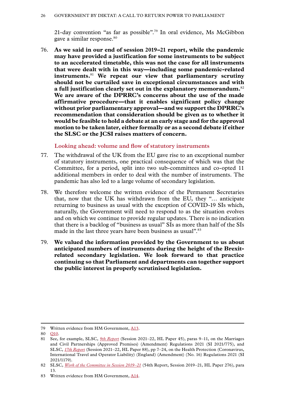<span id="page-27-0"></span>21-day convention "as far as possible".79 In oral evidence, Ms McGibbon gave a similar response.80

76. **As we said in our end of session 2019–21 report, while the pandemic may have provided a justification for some instruments to be subject to an accelerated timetable, this was not the case for all instruments that were dealt with in this way—including some pandemic-related instruments.**<sup>81</sup> **We repeat our view that parliamentary scrutiny should not be curtailed save in exceptional circumstances and with a full justification clearly set out in the explanatory memorandum.**<sup>82</sup> **We are aware of the DPRRC's concerns about the use of the made affirmative procedure—that it enables significant policy change without prior parliamentary approval—and we support the DPRRC's recommendation that consideration should be given as to whether it would be feasible to hold a debate at an early stage and for the approval motion to be taken later, either formally or as a second debate if either the SLSC or the JCSI raises matters of concern.**

**Looking ahead: volume and flow of statutory instruments**

- 77. The withdrawal of the UK from the EU gave rise to an exceptional number of statutory instruments, one practical consequence of which was that the Committee, for a period, split into two sub-committees and co-opted 11 additional members in order to deal with the number of instruments. The pandemic has also led to a large volume of secondary legislation.
- 78. We therefore welcome the written evidence of the Permanent Secretaries that, now that the UK has withdrawn from the EU, they "… anticipate returning to business as usual with the exception of COVID-19 SIs which, naturally, the Government will need to respond to as the situation evolves and on which we continue to provide regular updates. There is no indication that there is a backlog of "business as usual" SIs as more than half of the SIs made in the last three years have been business as usual".<sup>83</sup>
- 79. **We valued the information provided by the Government to us about anticipated numbers of instruments during the height of the Brexitrelated secondary legislation. We look forward to that practice continuing so that Parliament and departments can together support the public interest in properly scrutinised legislation.**

<sup>79</sup> Written evidence from HM Government, [A13](https://committees.parliament.uk/publications/7862/documents/81684/default/).

<sup>80</sup> [Q10](https://committees.parliament.uk/oralevidence/2063/default/).

<sup>81</sup> See, for example, SLSC, *[9th Report](https://publications.parliament.uk/pa/ld5802/ldselect/ldsecleg/45/4506.htm)* (Session 2021–22, HL Paper 45), paras 9–11, on the Marriages and Civil Partnerships (Approved Premises) (Amendment) Regulations 2021 (SI 2021/775), and SLSC, *[17th Report](https://publications.parliament.uk/pa/ld5802/ldselect/ldsecleg/88/8805.htm)* (Session 2021–22, HL Paper 88), pp 7–24, on the Health Protection (Coronavirus, International Travel and Operator Liability) (England) (Amendment) (No. 16) Regulations 2021 (SI 2021/1179).

<sup>82</sup> SLSC, *[Work of the Committee in Session 2019–21](https://committees.parliament.uk/publications/5729/documents/56545/default/)* [\(54th Report](https://committees.parliament.uk/publications/5729/documents/56545/default/), Session 2019–21, HL Paper 276), para 13.

<sup>83</sup> Written evidence from HM Government, [A14](https://committees.parliament.uk/publications/7862/documents/81684/default/).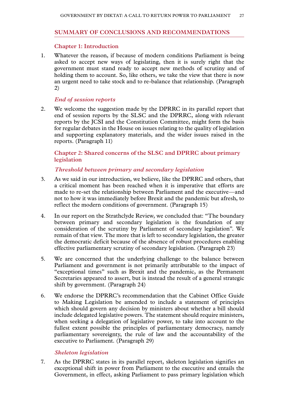#### <span id="page-28-0"></span>**SUMMARY OF CONCLUSIONS AND RECOMMENDATIONS**

#### **Chapter 1: Introduction**

1. Whatever the reason, if because of modern conditions Parliament is being asked to accept new ways of legislating, then it is surely right that the government must stand ready to accept new methods of scrutiny and of holding them to account. So, like others, we take the view that there is now an urgent need to take stock and to re-balance that relationship. (Paragraph 2)

#### *End of session reports*

2. We welcome the suggestion made by the DPRRC in its parallel report that end of session reports by the SLSC and the DPRRC, along with relevant reports by the JCSI and the Constitution Committee, might form the basis for regular debates in the House on issues relating to the quality of legislation and supporting explanatory materials, and the wider issues raised in the reports. (Paragraph 11)

#### **Chapter 2: Shared concerns of the SLSC and DPRRC about primary legislation**

#### *Threshold between primary and secondary legislation*

- 3. As we said in our introduction, we believe, like the DPRRC and others, that a critical moment has been reached when it is imperative that efforts are made to re-set the relationship between Parliament and the executive—and not to how it was immediately before Brexit and the pandemic but afresh, to reflect the modern conditions of government. (Paragraph 15)
- 4. In our report on the Strathclyde Review, we concluded that: "The boundary between primary and secondary legislation is the foundation of any consideration of the scrutiny by Parliament of secondary legislation". We remain of that view. The more that is left to secondary legislation, the greater the democratic deficit because of the absence of robust procedures enabling effective parliamentary scrutiny of secondary legislation. (Paragraph 23)
- 5. We are concerned that the underlying challenge to the balance between Parliament and government is not primarily attributable to the impact of "exceptional times" such as Brexit and the pandemic, as the Permanent Secretaries appeared to assert, but is instead the result of a general strategic shift by government. (Paragraph 24)
- 6. We endorse the DPRRC's recommendation that the Cabinet Office Guide to Making Legislation be amended to include a statement of principles which should govern any decision by ministers about whether a bill should include delegated legislative powers. The statement should require ministers, when seeking a delegation of legislative power, to take into account to the fullest extent possible the principles of parliamentary democracy, namely parliamentary sovereignty, the rule of law and the accountability of the executive to Parliament. (Paragraph 29)

#### *Skeleton legislation*

7. As the DPRRC states in its parallel report, skeleton legislation signifies an exceptional shift in power from Parliament to the executive and entails the Government, in effect, asking Parliament to pass primary legislation which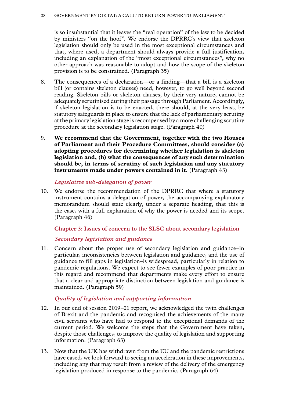is so insubstantial that it leaves the "real operation" of the law to be decided by ministers "on the hoof". We endorse the DPRRC's view that skeleton legislation should only be used in the most exceptional circumstances and that, where used, a department should always provide a full justification, including an explanation of the "most exceptional circumstances", why no other approach was reasonable to adopt and how the scope of the skeleton provision is to be constrained. (Paragraph 35)

- 8. The consequences of a declaration—or a finding—that a bill is a skeleton bill (or contains skeleton clauses) need, however, to go well beyond second reading. Skeleton bills or skeleton clauses, by their very nature, cannot be adequately scrutinised during their passage through Parliament. Accordingly, if skeleton legislation is to be enacted, there should, at the very least, be statutory safeguards in place to ensure that the lack of parliamentary scrutiny at the primary legislation stage is recompensed by a more challenging scrutiny procedure at the secondary legislation stage. (Paragraph 40)
- 9. **We recommend that the Government, together with the two Houses of Parliament and their Procedure Committees, should consider (a) adopting procedures for determining whether legislation is skeleton legislation and, (b) what the consequences of any such determination should be, in terms of scrutiny of such legislation and any statutory instruments made under powers contained in it.** (Paragraph 43)

#### *Legislative sub-delegation of power*

10. We endorse the recommendation of the DPRRC that where a statutory instrument contains a delegation of power, the accompanying explanatory memorandum should state clearly, under a separate heading, that this is the case, with a full explanation of why the power is needed and its scope. (Paragraph 46)

#### **Chapter 3: Issues of concern to the SLSC about secondary legislation**

#### *Secondary legislation and guidance*

11. Concern about the proper use of secondary legislation and guidance–in particular, inconsistencies between legislation and guidance, and the use of guidance to fill gaps in legislation–is widespread, particularly in relation to pandemic regulations. We expect to see fewer examples of poor practice in this regard and recommend that departments make every effort to ensure that a clear and appropriate distinction between legislation and guidance is maintained. (Paragraph 59)

#### *Quality of legislation and supporting information*

- 12. In our end of session 2019–21 report, we acknowledged the twin challenges of Brexit and the pandemic and recognised the achievements of the many civil servants who have had to respond to the exceptional demands of the current period. We welcome the steps that the Government have taken, despite those challenges, to improve the quality of legislation and supporting information. (Paragraph 63)
- 13. Now that the UK has withdrawn from the EU and the pandemic restrictions have eased, we look forward to seeing an acceleration in these improvements, including any that may result from a review of the delivery of the emergency legislation produced in response to the pandemic. (Paragraph 64)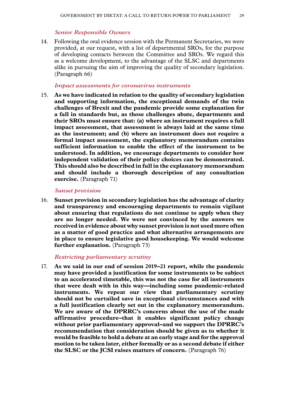#### *Senior Responsible Owners*

14. Following the oral evidence session with the Permanent Secretaries, we were provided, at our request, with a list of departmental SROs, for the purpose of developing contacts between the Committee and SROs. We regard this as a welcome development, to the advantage of the SLSC and departments alike in pursuing the aim of improving the quality of secondary legislation. (Paragraph 66)

#### *Impact assessments for coronavirus instruments*

15. **As we have indicated in relation to the quality of secondary legislation and supporting information, the exceptional demands of the twin challenges of Brexit and the pandemic provide some explanation for a fall in standards but, as those challenges abate, departments and their SROs must ensure that: (a) where an instrument requires a full impact assessment, that assessment is always laid at the same time as the instrument; and (b) where an instrument does not require a formal impact assessment, the explanatory memorandum contains sufficient information to enable the effect of the instrument to be understood. In addition, we encourage departments to consider how independent validation of their policy choices can be demonstrated. This should also be described in full in the explanatory memorandum and should include a thorough description of any consultation exercise.** (Paragraph 71)

#### *Sunset provision*

16. **Sunset provision in secondary legislation has the advantage of clarity and transparency and encouraging departments to remain vigilant about ensuring that regulations do not continue to apply when they are no longer needed. We were not convinced by the answers we received in evidence about why sunset provision is not used more often as a matter of good practice and what alternative arrangements are in place to ensure legislative good housekeeping. We would welcome further explanation.** (Paragraph 73)

#### *Restricting parliamentary scrutiny*

17. **As we said in our end of session 2019–21 report, while the pandemic may have provided a justification for some instruments to be subject to an accelerated timetable, this was not the case for all instruments that were dealt with in this way—including some pandemic-related instruments. We repeat our view that parliamentary scrutiny should not be curtailed save in exceptional circumstances and with a full justification clearly set out in the explanatory memorandum. We are aware of the DPRRC's concerns about the use of the made affirmative procedure–that it enables significant policy change without prior parliamentary approval–and we support the DPRRC's recommendation that consideration should be given as to whether it would be feasible to hold a debate at an early stage and for the approval motion to be taken later, either formally or as a second debate if either the SLSC or the JCSI raises matters of concern.** (Paragraph 76)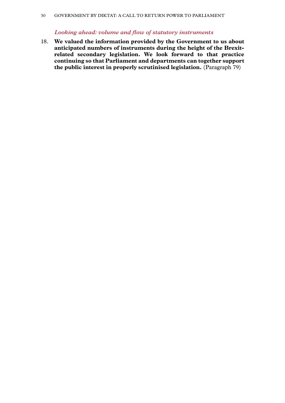#### *Looking ahead: volume and flow of statutory instruments*

18. **We valued the information provided by the Government to us about anticipated numbers of instruments during the height of the Brexitrelated secondary legislation. We look forward to that practice continuing so that Parliament and departments can together support the public interest in properly scrutinised legislation.** (Paragraph 79)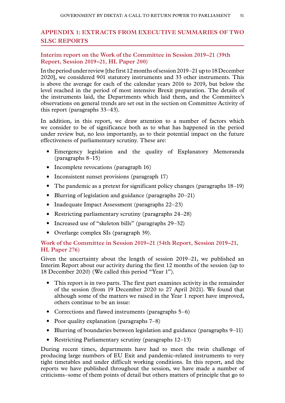# <span id="page-32-0"></span>**Appendix 1: EXTRACTS FROM EXECUTIVE SUMMARIES OF TWO SLSC REPORTS**

#### **Interim report on the Work of the Committee in Session 2019–21 (39th Report, Session 2019–21, HL Paper 200)**

In the period under review [the first 12 months of session 2019–21 up to 18 December 2020], we considered 901 statutory instruments and 33 other instruments. This is above the average for each of the calendar years 2016 to 2019, but below the level reached in the period of most intensive Brexit preparation. The details of the instruments laid, the Departments which laid them, and the Committee's observations on general trends are set out in the section on Committee Activity of this report (paragraphs 33–43).

In addition, in this report, we draw attention to a number of factors which we consider to be of significance both as to what has happened in the period under review but, no less importantly, as to their potential impact on the future effectiveness of parliamentary scrutiny. These are:

- Emergency legislation and the quality of Explanatory Memoranda (paragraphs 8–15)
- Incomplete revocations (paragraph 16)
- Inconsistent sunset provisions (paragraph 17)
- The pandemic as a pretext for significant policy changes (paragraphs 18–19)
- Blurring of legislation and guidance (paragraphs 20–21)
- Inadequate Impact Assessment (paragraphs 22–23)
- Restricting parliamentary scrutiny (paragraphs 24–28)
- Increased use of "skeleton bills" (paragraphs 29–32)
- Overlarge complex SIs (paragraph 39).

### **Work of the Committee in Session 2019–21 (54th Report, Session 2019–21, HL Paper 276)**

Given the uncertainty about the length of session 2019–21, we published an Interim Report about our activity during the first 12 months of the session (up to 18 December 2020) (We called this period "Year 1").

- This report is in two parts. The first part examines activity in the remainder of the session (from 19 December 2020 to 27 April 2021). We found that although some of the matters we raised in the Year 1 report have improved, others continue to be an issue:
- Corrections and flawed instruments (paragraphs 5–6)
- Poor quality explanation (paragraphs 7–8)
- Blurring of boundaries between legislation and guidance (paragraphs 9–11)
- Restricting Parliamentary scrutiny (paragraphs 12–13)

During recent times, departments have had to meet the twin challenge of producing large numbers of EU Exit and pandemic-related instruments to very tight timetables and under difficult working conditions. In this report, and the reports we have published throughout the session, we have made a number of criticisms–some of them points of detail but others matters of principle that go to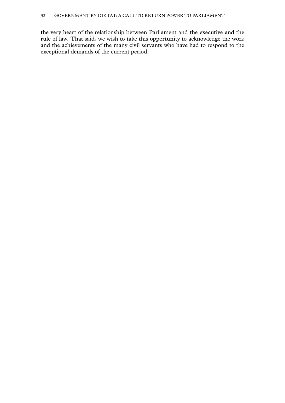the very heart of the relationship between Parliament and the executive and the rule of law. That said, we wish to take this opportunity to acknowledge the work and the achievements of the many civil servants who have had to respond to the exceptional demands of the current period.